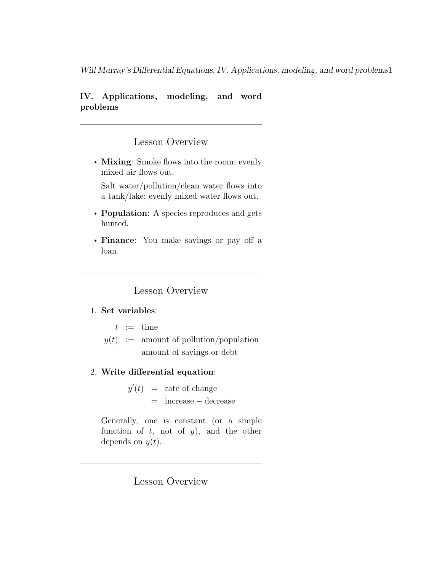#### IV. Applications, modeling, and word problems

### Lesson Overview

• Mixing: Smoke flows into the room; evenly mixed air flows out.

Salt water/pollution/clean water flows into a tank/lake; evenly mixed water flows out.

- **Population**: A species reproduces and gets hunted.
- Finance: You make savings or pay off a loan.

Lesson Overview

#### 1. Set variables:

- $t := \text{time}$
- $y(t) :=$  amount of pollution/population amount of savings or debt
- 2. Write differential equation:

 $y'(t)$  = rate of change = increase − decrease

Generally, one is constant (or a simple function of  $t$ , not of  $y$ ), and the other depends on  $y(t)$ .

# Lesson Overview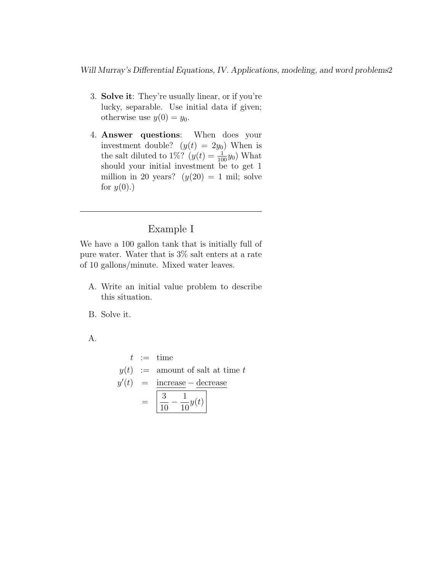- 3. Solve it: They're usually linear, or if you're lucky, separable. Use initial data if given; otherwise use  $y(0) = y_0$ .
- 4. Answer questions: When does your investment double?  $(y(t) = 2y_0)$  When is the salt diluted to 1%?  $(y(t) = \frac{1}{100}y_0)$  What should your initial investment be to get 1 million in 20 years?  $(y(20) = 1$  mil; solve for  $y(0)$ .)

# Example I

We have a 100 gallon tank that is initially full of pure water. Water that is 3% salt enters at a rate of 10 gallons/minute. Mixed water leaves.

- A. Write an initial value problem to describe this situation.
- B. Solve it.

A.

$$
t := \text{time}
$$
  
\n
$$
y(t) := \text{amount of salt at time } t
$$
  
\n
$$
y'(t) = \text{increase} - \text{decrease}
$$
  
\n
$$
= \boxed{\frac{3}{10} - \frac{1}{10}y(t)}
$$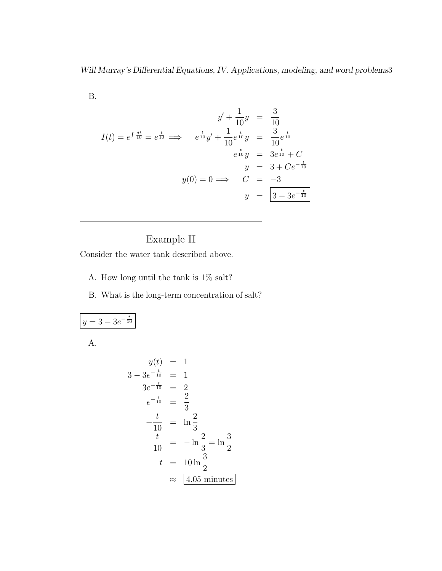B.

$$
y' + \frac{1}{10}y = \frac{3}{10}
$$
  

$$
I(t) = e^{\int \frac{dt}{10}} = e^{\frac{t}{10}} \implies e^{\frac{t}{10}}y' + \frac{1}{10}e^{\frac{t}{10}}y = \frac{3}{10}e^{\frac{t}{10}}
$$
  

$$
e^{\frac{t}{10}}y = 3e^{\frac{t}{10}} + C
$$
  

$$
y = 3 + Ce^{-\frac{t}{10}}
$$
  

$$
y(0) = 0 \implies C = -3
$$
  

$$
y = \boxed{3 - 3e^{-\frac{t}{10}}}
$$

# Example II

Consider the water tank described above.

- A. How long until the tank is  $1\%$  salt?
- B. What is the long-term concentration of salt?

$$
y = 3 - 3e^{-\frac{t}{10}}
$$

A.

$$
y(t) = 1
$$
  
\n
$$
3 - 3e^{-\frac{t}{10}} = 1
$$
  
\n
$$
3e^{-\frac{t}{10}} = 2
$$
  
\n
$$
e^{-\frac{t}{10}} = \frac{2}{3}
$$
  
\n
$$
-\frac{t}{10} = \ln \frac{2}{3}
$$
  
\n
$$
\frac{t}{10} = -\ln \frac{2}{3} = \ln \frac{3}{2}
$$
  
\n
$$
t = 10 \ln \frac{3}{2}
$$
  
\n
$$
\approx \boxed{4.05 \text{ minutes}}
$$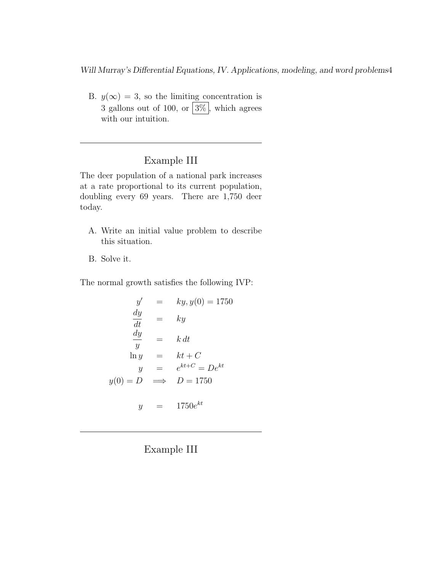B.  $y(\infty) = 3$ , so the limiting concentration is 3 gallons out of 100, or  $\boxed{3\%}$ , which agrees with our intuition.

# Example III

The deer population of a national park increases at a rate proportional to its current population, doubling every 69 years. There are 1,750 deer today.

- A. Write an initial value problem to describe this situation.
- B. Solve it.

The normal growth satisfies the following IVP:

$$
y' = ky, y(0) = 1750
$$
  
\n
$$
\frac{dy}{dt} = ky
$$
  
\n
$$
\frac{dy}{y} = k dt
$$
  
\n
$$
\ln y = kt + C
$$
  
\n
$$
y = e^{kt + C} = De^{kt}
$$
  
\n
$$
y(0) = D \implies D = 1750
$$
  
\n
$$
y = 1750e^{kt}
$$

Example III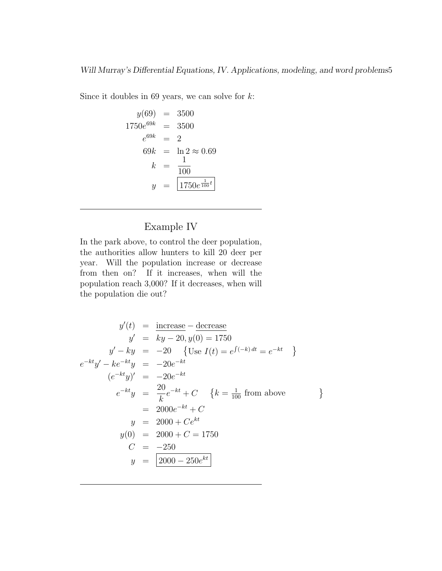Since it doubles in 69 years, we can solve for  $k$ :

$$
y(69) = 3500
$$
  
\n
$$
1750e^{69k} = 3500
$$
  
\n
$$
e^{69k} = 2
$$
  
\n
$$
69k = \ln 2 \approx 0.69
$$
  
\n
$$
k = \frac{1}{100}
$$
  
\n
$$
y = \boxed{1750e^{\frac{1}{100}t}}
$$

# Example IV

In the park above, to control the deer population, the authorities allow hunters to kill 20 deer per year. Will the population increase or decrease from then on? If it increases, when will the population reach 3,000? If it decreases, when will the population die out?

$$
y'(t) = \frac{\text{increase}}{ky - 20}, y(0) = 1750
$$
  
\n
$$
y' - ky = -20 \quad \{ \text{Use } I(t) = e^{\int (-k) dt} = e^{-kt} \}
$$
  
\n
$$
e^{-kt}y' - ke^{-kt}y = -20e^{-kt}
$$
  
\n
$$
(e^{-kt}y)' = -20e^{-kt}
$$
  
\n
$$
e^{-kt}y = \frac{20}{k}e^{-kt} + C \quad \{ k = \frac{1}{100} \text{ from above } \}
$$
  
\n
$$
= 2000e^{-kt} + C
$$
  
\n
$$
y = 2000 + Ce^{kt}
$$
  
\n
$$
y(0) = 2000 + C = 1750
$$
  
\n
$$
C = -250
$$
  
\n
$$
y = \boxed{2000 - 250e^{kt}}
$$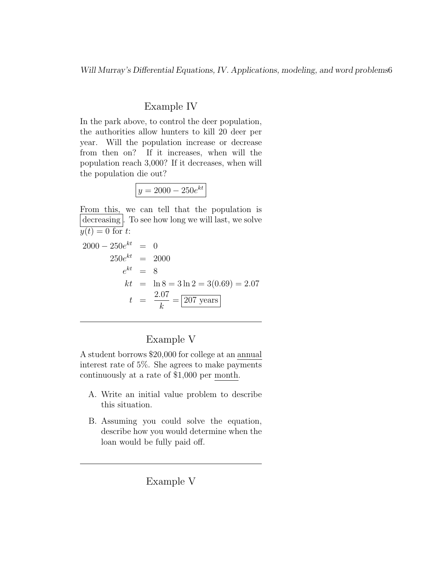### Example IV

In the park above, to control the deer population, the authorities allow hunters to kill 20 deer per year. Will the population increase or decrease from then on? If it increases, when will the population reach 3,000? If it decreases, when will the population die out?

| ۱ |
|---|
|---|

From this, we can tell that the population is decreasing. To see how long we will last, we solve  $y(t) = 0$  for t:

$$
2000 - 250e^{kt} = 0
$$
  
\n
$$
250e^{kt} = 2000
$$
  
\n
$$
e^{kt} = 8
$$
  
\n
$$
kt = \ln 8 = 3 \ln 2 = 3(0.69) = 2.07
$$
  
\n
$$
t = \frac{2.07}{k} = 207 \text{ years}
$$

# Example V

A student borrows \$20,000 for college at an annual interest rate of 5%. She agrees to make payments continuously at a rate of \$1,000 per month.

- A. Write an initial value problem to describe this situation.
- B. Assuming you could solve the equation, describe how you would determine when the loan would be fully paid off.

Example V